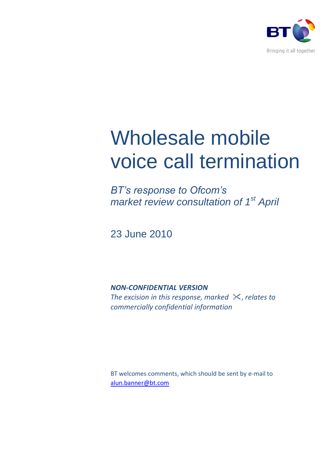

# Wholesale mobile voice call termination

*BT's response to Ofcom's market review consultation of 1 st April*

23 June 2010

*NON-CONFIDENTIAL VERSION*

*The excision in this response, marked*  $\mathcal{K}$ , *relates to commercially confidential information*

BT welcomes comments, which should be sent by e-mail to [alun.banner@bt.com](mailto:alun.banner@bt.com)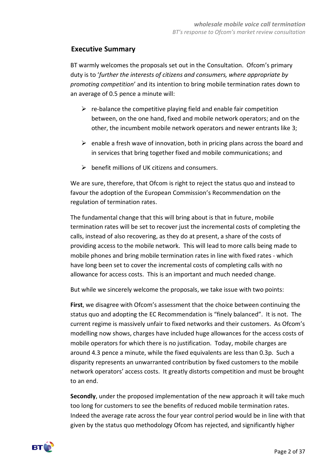# **Executive Summary**

BT warmly welcomes the proposals set out in the Consultation. Ofcom's primary duty is to '*further the interests of citizens and consumers, where appropriate by promoting competition*' and its intention to bring mobile termination rates down to an average of 0.5 pence a minute will:

- $\triangleright$  re-balance the competitive playing field and enable fair competition between, on the one hand, fixed and mobile network operators; and on the other, the incumbent mobile network operators and newer entrants like 3;
- $\triangleright$  enable a fresh wave of innovation, both in pricing plans across the board and in services that bring together fixed and mobile communications; and
- $\triangleright$  benefit millions of UK citizens and consumers.

We are sure, therefore, that Ofcom is right to reject the status quo and instead to favour the adoption of the European Commission's Recommendation on the regulation of termination rates.

The fundamental change that this will bring about is that in future, mobile termination rates will be set to recover just the incremental costs of completing the calls, instead of also recovering, as they do at present, a share of the costs of providing access to the mobile network. This will lead to more calls being made to mobile phones and bring mobile termination rates in line with fixed rates - which have long been set to cover the incremental costs of completing calls with no allowance for access costs. This is an important and much needed change.

But while we sincerely welcome the proposals, we take issue with two points:

**First**, we disagree with Ofcom's assessment that the choice between continuing the status quo and adopting the EC Recommendation is "finely balanced". It is not. The current regime is massively unfair to fixed networks and their customers. As Ofcom's modelling now shows, charges have included huge allowances for the access costs of mobile operators for which there is no justification. Today, mobile charges are around 4.3 pence a minute, while the fixed equivalents are less than 0.3p. Such a disparity represents an unwarranted contribution by fixed customers to the mobile network operators' access costs. It greatly distorts competition and must be brought to an end.

**Secondly**, under the proposed implementation of the new approach it will take much too long for customers to see the benefits of reduced mobile termination rates. Indeed the average rate across the four year control period would be in line with that given by the status quo methodology Ofcom has rejected, and significantly higher

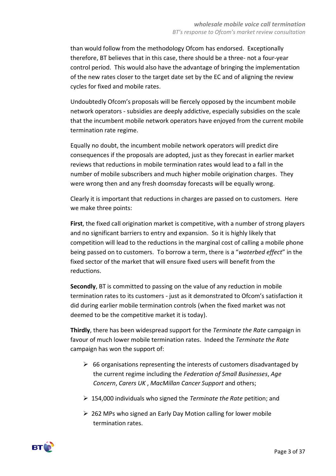than would follow from the methodology Ofcom has endorsed. Exceptionally therefore, BT believes that in this case, there should be a three- not a four-year control period. This would also have the advantage of bringing the implementation of the new rates closer to the target date set by the EC and of aligning the review cycles for fixed and mobile rates.

Undoubtedly Ofcom's proposals will be fiercely opposed by the incumbent mobile network operators - subsidies are deeply addictive, especially subsidies on the scale that the incumbent mobile network operators have enjoyed from the current mobile termination rate regime.

Equally no doubt, the incumbent mobile network operators will predict dire consequences if the proposals are adopted, just as they forecast in earlier market reviews that reductions in mobile termination rates would lead to a fall in the number of mobile subscribers and much higher mobile origination charges. They were wrong then and any fresh doomsday forecasts will be equally wrong.

Clearly it is important that reductions in charges are passed on to customers. Here we make three points:

**First**, the fixed call origination market is competitive, with a number of strong players and no significant barriers to entry and expansion. So it is highly likely that competition will lead to the reductions in the marginal cost of calling a mobile phone being passed on to customers. To borrow a term, there is a "*waterbed effect*" in the fixed sector of the market that will ensure fixed users will benefit from the reductions.

**Secondly**, BT is committed to passing on the value of any reduction in mobile termination rates to its customers - just as it demonstrated to Ofcom's satisfaction it did during earlier mobile termination controls (when the fixed market was not deemed to be the competitive market it is today).

**Thirdly**, there has been widespread support for the *Terminate the Rate* campaign in favour of much lower mobile termination rates. Indeed the *Terminate the Rate* campaign has won the support of:

- $\triangleright$  66 organisations representing the interests of customers disadvantaged by the current regime including the *Federation of Small Businesses*, *Age Concern*, *Carers UK* , *MacMillan Cancer Support* and others;
- 154,000 individuals who signed the *Terminate the Rate* petition; and
- $\geq$  262 MPs who signed an Early Day Motion calling for lower mobile termination rates.

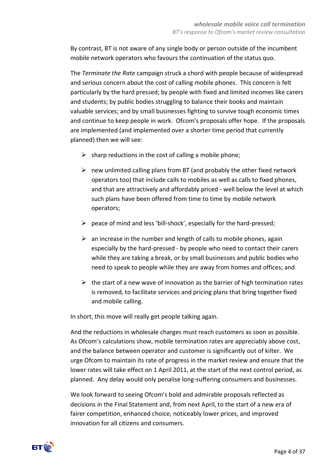By contrast, BT is not aware of any single body or person outside of the incumbent mobile network operators who favours the continuation of the status quo.

The *Terminate the Rate* campaign struck a chord with people because of widespread and serious concern about the cost of calling mobile phones. This concern is felt particularly by the hard pressed; by people with fixed and limited incomes like carers and students; by public bodies struggling to balance their books and maintain valuable services; and by small businesses fighting to survive tough economic times and continue to keep people in work. Ofcom's proposals offer hope. If the proposals are implemented (and implemented over a shorter time period that currently planned) then we will see:

- $\triangleright$  sharp reductions in the cost of calling a mobile phone;
- $\triangleright$  new unlimited calling plans from BT (and probably the other fixed network operators too) that include calls to mobiles as well as calls to fixed phones, and that are attractively and affordably priced - well below the level at which such plans have been offered from time to time by mobile network operators;
- $\triangleright$  peace of mind and less 'bill-shock', especially for the hard-pressed;
- $\triangleright$  an increase in the number and length of calls to mobile phones, again especially by the hard-pressed - by people who need to contact their carers while they are taking a break, or by small businesses and public bodies who need to speak to people while they are away from homes and offices; and
- $\triangleright$  the start of a new wave of innovation as the barrier of high termination rates is removed, to facilitate services and pricing plans that bring together fixed and mobile calling.

In short, this move will really get people talking again.

And the reductions in wholesale charges must reach customers as soon as possible. As Ofcom's calculations show, mobile termination rates are appreciably above cost, and the balance between operator and customer is significantly out of kilter. We urge Ofcom to maintain its rate of progress in the market review and ensure that the lower rates will take effect on 1 April 2011, at the start of the next control period, as planned. Any delay would only penalise long-suffering consumers and businesses.

We look forward to seeing Ofcom's bold and admirable proposals reflected as decisions in the Final Statement and, from next April, to the start of a new era of fairer competition, enhanced choice, noticeably lower prices, and improved innovation for all citizens and consumers.

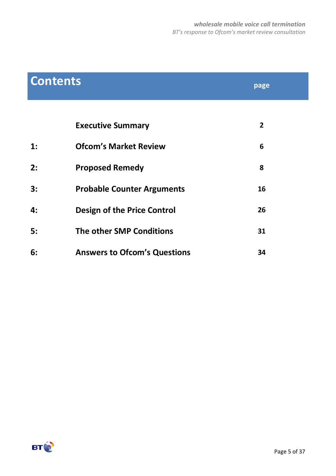| <b>Contents</b> |                                     | page           |
|-----------------|-------------------------------------|----------------|
|                 |                                     |                |
|                 | <b>Executive Summary</b>            | $\overline{2}$ |
| 1:              | <b>Ofcom's Market Review</b>        | 6              |
| 2:              | <b>Proposed Remedy</b>              | 8              |
| 3:              | <b>Probable Counter Arguments</b>   | 16             |
| 4:              | <b>Design of the Price Control</b>  | 26             |
| 5:              | The other SMP Conditions            | 31             |
| 6:              | <b>Answers to Ofcom's Questions</b> | 34             |

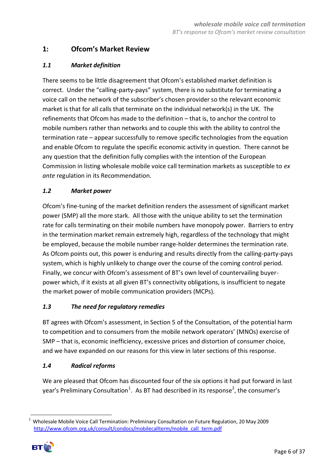# **1: Ofcom's Market Review**

# *1.1 Market definition*

There seems to be little disagreement that Ofcom's established market definition is correct. Under the "calling-party-pays" system, there is no substitute for terminating a voice call on the network of the subscriber's chosen provider so the relevant economic market is that for all calls that terminate on the individual network(s) in the UK. The refinements that Ofcom has made to the definition – that is, to anchor the control to mobile numbers rather than networks and to couple this with the ability to control the termination rate – appear successfully to remove specific technologies from the equation and enable Ofcom to regulate the specific economic activity in question. There cannot be any question that the definition fully complies with the intention of the European Commission in listing wholesale mobile voice call termination markets as susceptible to *ex ante* regulation in its Recommendation.

# *1.2 Market power*

Ofcom's fine-tuning of the market definition renders the assessment of significant market power (SMP) all the more stark. All those with the unique ability to set the termination rate for calls terminating on their mobile numbers have monopoly power. Barriers to entry in the termination market remain extremely high, regardless of the technology that might be employed, because the mobile number range-holder determines the termination rate. As Ofcom points out, this power is enduring and results directly from the calling-party-pays system, which is highly unlikely to change over the course of the coming control period. Finally, we concur with Ofcom's assessment of BT's own level of countervailing buyerpower which, if it exists at all given BT's connectivity obligations, is insufficient to negate the market power of mobile communication providers (MCPs).

#### *1.3 The need for regulatory remedies*

BT agrees with Ofcom's assessment, in Section 5 of the Consultation, of the potential harm to competition and to consumers from the mobile network operators' (MNOs) exercise of SMP – that is, economic inefficiency, excessive prices and distortion of consumer choice, and we have expanded on our reasons for this view in later sections of this response.

#### *1.4 Radical reforms*

We are pleased that Ofcom has discounted four of the six options it had put forward in last year's Preliminary Consultation<sup>1</sup>. As BT had described in its response<sup>2</sup>, the consumer's

<sup>1</sup> <sup>1</sup> Wholesale Mobile Voice Call Termination: Preliminary Consultation on Future Regulation, 20 May 2009 [http://www.ofcom.org.uk/consult/condocs/mobilecallterm/mobile\\_call\\_term.pdf](http://www.ofcom.org.uk/consult/condocs/mobilecallterm/mobile_call_term.pdf)

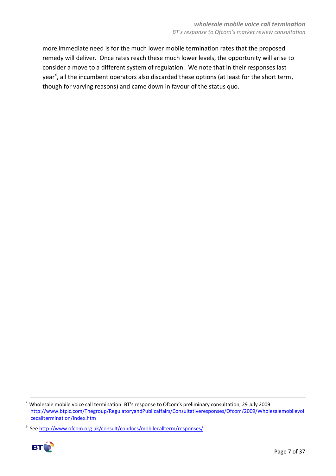more immediate need is for the much lower mobile termination rates that the proposed remedy will deliver. Once rates reach these much lower levels, the opportunity will arise to consider a move to a different system of regulation. We note that in their responses last year<sup>3</sup>, all the incumbent operators also discarded these options (at least for the short term, though for varying reasons) and came down in favour of the status quo.

<sup>&</sup>lt;sup>3</sup> See http://www.ofcom.org.uk/consult/condocs/mobilecallterm/responses/



<sup>-</sup><sup>2</sup> Wholesale mobile voice call termination: BT's response to Ofcom's preliminary consultation, 29 July 2009 [http://www.btplc.com/Thegroup/RegulatoryandPublicaffairs/Consultativeresponses/Ofcom/2009/Wholesalemobilevoi](http://www.btplc.com/Thegroup/RegulatoryandPublicaffairs/Consultativeresponses/Ofcom/2009/Wholesalemobilevoicecalltermination/index.htm) [cecalltermination/index.htm](http://www.btplc.com/Thegroup/RegulatoryandPublicaffairs/Consultativeresponses/Ofcom/2009/Wholesalemobilevoicecalltermination/index.htm)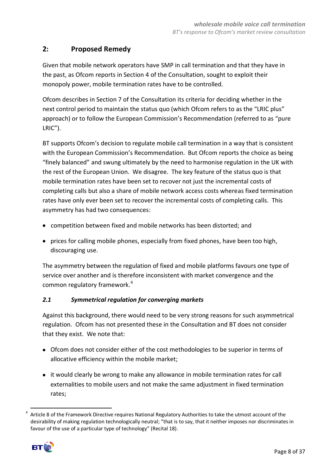# **2: Proposed Remedy**

Given that mobile network operators have SMP in call termination and that they have in the past, as Ofcom reports in Section 4 of the Consultation, sought to exploit their monopoly power, mobile termination rates have to be controlled.

Ofcom describes in Section 7 of the Consultation its criteria for deciding whether in the next control period to maintain the status quo (which Ofcom refers to as the "LRIC plus" approach) or to follow the European Commission's Recommendation (referred to as "pure LRIC").

BT supports Ofcom's decision to regulate mobile call termination in a way that is consistent with the European Commission's Recommendation. But Ofcom reports the choice as being "finely balanced" and swung ultimately by the need to harmonise regulation in the UK with the rest of the European Union. We disagree. The key feature of the status quo is that mobile termination rates have been set to recover not just the incremental costs of completing calls but also a share of mobile network access costs whereas fixed termination rates have only ever been set to recover the incremental costs of completing calls. This asymmetry has had two consequences:

- competition between fixed and mobile networks has been distorted; and
- prices for calling mobile phones, especially from fixed phones, have been too high, discouraging use.

The asymmetry between the regulation of fixed and mobile platforms favours one type of service over another and is therefore inconsistent with market convergence and the common regulatory framework.<sup>4</sup>

#### *2.1 Symmetrical regulation for converging markets*

Against this background, there would need to be very strong reasons for such asymmetrical regulation. Ofcom has not presented these in the Consultation and BT does not consider that they exist. We note that:

- Ofcom does not consider either of the cost methodologies to be superior in terms of allocative efficiency within the mobile market;
- it would clearly be wrong to make any allowance in mobile termination rates for call externalities to mobile users and not make the same adjustment in fixed termination rates;

<sup>4</sup> Article 8 of the Framework Directive requires National Regulatory Authorities to take the utmost account of the desirability of making regulation technologically neutral; "that is to say, that it neither imposes nor discriminates in favour of the use of a particular type of technology" (Recital 18).



**.**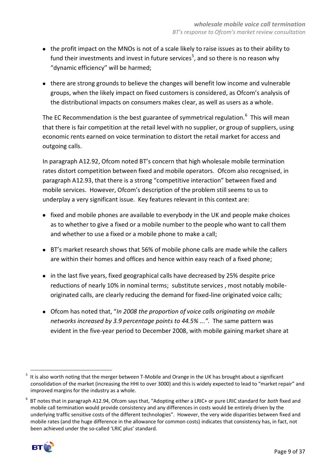- the profit impact on the MNOs is not of a scale likely to raise issues as to their ability to fund their investments and invest in future services<sup>5</sup>, and so there is no reason why "dynamic efficiency" will be harmed;
- there are strong grounds to believe the changes will benefit low income and vulnerable groups, when the likely impact on fixed customers is considered, as Ofcom's analysis of the distributional impacts on consumers makes clear, as well as users as a whole.

The EC Recommendation is the best guarantee of symmetrical regulation.<sup>6</sup> This will mean that there is fair competition at the retail level with no supplier, or group of suppliers, using economic rents earned on voice termination to distort the retail market for access and outgoing calls.

In paragraph A12.92, Ofcom noted BT's concern that high wholesale mobile termination rates distort competition between fixed and mobile operators. Ofcom also recognised, in paragraph A12.93, that there is a strong "competitive interaction" between fixed and mobile services. However, Ofcom's description of the problem still seems to us to underplay a very significant issue. Key features relevant in this context are:

- fixed and mobile phones are available to everybody in the UK and people make choices as to whether to give a fixed or a mobile number to the people who want to call them and whether to use a fixed or a mobile phone to make a call;
- BT's market research shows that 56% of mobile phone calls are made while the callers are within their homes and offices and hence within easy reach of a fixed phone;
- in the last five years, fixed geographical calls have decreased by 25% despite price reductions of nearly 10% in nominal terms; substitute services , most notably mobileoriginated calls, are clearly reducing the demand for fixed-line originated voice calls;
- Ofcom has noted that, "*In 2008 the proportion of voice calls originating on mobile networks increased by 3.9 percentage points to 44.5% ...".* The same pattern was evident in the five-year period to December 2008, with mobile gaining market share at

<sup>6</sup> BT notes that in paragraph A12.94, Ofcom says that, "Adopting either a LRIC+ or pure LRIC standard for *both* fixed and mobile call termination would provide consistency and any differences in costs would be entirely driven by the underlying traffic sensitive costs of the different technologies". However, the very wide disparities between fixed and mobile rates (and the huge difference in the allowance for common costs) indicates that consistency has, in fact, not been achieved under the so-called 'LRIC plus' standard.



**<sup>.</sup>** <sup>5</sup> It is also worth noting that the merger between T-Mobile and Orange in the UK has brought about a significant consolidation of the market (increasing the HHI to over 3000) and this is widely expected to lead to "market repair" and improved margins for the industry as a whole.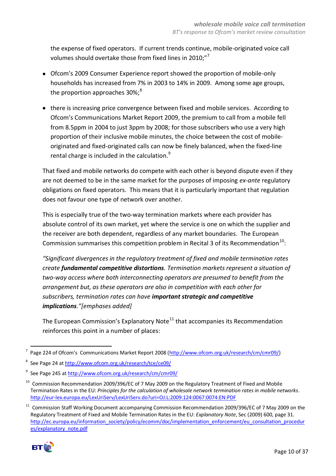the expense of fixed operators. If current trends continue, mobile-originated voice call volumes should overtake those from fixed lines in 2010;"<sup>7</sup>

- Ofcom's 2009 Consumer Experience report showed the proportion of mobile-only households has increased from 7% in 2003 to 14% in 2009. Among some age groups, the proportion approaches  $30\%$ ;<sup>8</sup>
- there is increasing price convergence between fixed and mobile services. According to Ofcom's Communications Market Report 2009, the premium to call from a mobile fell from 8.5ppm in 2004 to just 3ppm by 2008; for those subscribers who use a very high proportion of their inclusive mobile minutes, the choice between the cost of mobileoriginated and fixed-originated calls can now be finely balanced, when the fixed-line rental charge is included in the calculation.<sup>9</sup>

That fixed and mobile networks do compete with each other is beyond dispute even if they are not deemed to be in the same market for the purposes of imposing *ex-ante* regulatory obligations on fixed operators. This means that it is particularly important that regulation does not favour one type of network over another.

This is especially true of the two-way termination markets where each provider has absolute control of its own market, yet where the service is one on which the supplier and the receiver are both dependent, regardless of any market boundaries. The European Commission summarises this competition problem in Recital 3 of its Recommendation<sup>10</sup>:

*"Significant divergences in the regulatory treatment of fixed and mobile termination rates create fundamental competitive distortions. Termination markets represent a situation of two-way access where both interconnecting operators are presumed to benefit from the arrangement but, as these operators are also in competition with each other for subscribers, termination rates can have important strategic and competitive implications."[emphases added]*

The European Commission's Explanatory Note<sup>11</sup> that accompanies its Recommendation reinforces this point in a number of places:

<sup>&</sup>lt;sup>11</sup> Commission Staff Working Document accompanying Commission Recommendation 2009/396/EC of 7 May 2009 on the Regulatory Treatment of Fixed and Mobile Termination Rates in the EU: *Explanatory Note*, Sec (2009) 600, page 31. [http://ec.europa.eu/information\\_society/policy/ecomm/doc/implementation\\_enforcement/eu\\_consultation\\_procedur](http://ec.europa.eu/information_society/policy/ecomm/doc/implementation_enforcement/eu_consultation_procedures/explanatory_note.pdf) [es/explanatory\\_note.pdf](http://ec.europa.eu/information_society/policy/ecomm/doc/implementation_enforcement/eu_consultation_procedures/explanatory_note.pdf)



TALLET 2018 of Orticom's Communications Market Report 2008 ([http://www.ofcom.org.uk/research/cm/cmr09/\)](http://www.ofcom.org.uk/research/cm/cmr09/)

<sup>8</sup> See Page 24 a[t http://www.ofcom.org.uk/research/tce/ce09/](http://www.ofcom.org.uk/research/tce/ce09/)

<sup>&</sup>lt;sup>9</sup> See Page 245 a[t http://www.ofcom.org.uk/research/cm/cmr09/](http://www.ofcom.org.uk/research/cm/cmr09/)

<sup>&</sup>lt;sup>10</sup> Commission Recommendation 2009/396/EC of 7 May 2009 on the Regulatory Treatment of Fixed and Mobile Termination Rates in the EU: *Principles for the calculation of wholesale network termination rates in mobile networks*. <http://eur-lex.europa.eu/LexUriServ/LexUriServ.do?uri=OJ:L:2009:124:0067:0074:EN:PDF>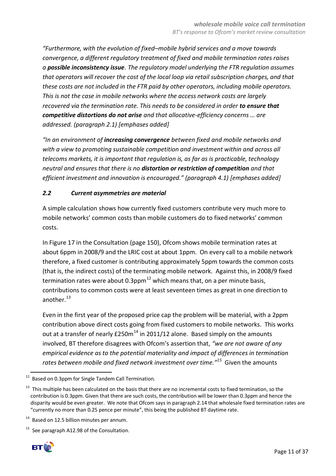*"Furthermore, with the evolution of fixed–mobile hybrid services and a move towards convergence, a different regulatory treatment of fixed and mobile termination rates raises a possible inconsistency issue. The regulatory model underlying the FTR regulation assumes that operators will recover the cost of the local loop via retail subscription charges, and that these costs are not included in the FTR paid by other operators, including mobile operators. This is not the case in mobile networks where the access network costs are largely recovered via the termination rate. This needs to be considered in order to ensure that competitive distortions do not arise and that allocative-efficiency concerns … are addressed. (paragraph 2.1) [emphases added]*

*"In an environment of increasing convergence between fixed and mobile networks and with a view to promoting sustainable competition and investment within and across all telecoms markets, it is important that regulation is, as far as is practicable, technology neutral and ensures that there is no distortion or restriction of competition and that efficient investment and innovation is encouraged." (paragraph 4.1) [emphases added]*

# *2.2 Current asymmetries are material*

A simple calculation shows how currently fixed customers contribute very much more to mobile networks' common costs than mobile customers do to fixed networks' common costs.

In Figure 17 in the Consultation (page 150), Ofcom shows mobile termination rates at about 6ppm in 2008/9 and the LRIC cost at about 1ppm. On every call to a mobile network therefore, a fixed customer is contributing approximately 5ppm towards the common costs (that is, the indirect costs) of the terminating mobile network. Against this, in 2008/9 fixed termination rates were about 0.3ppm<sup>12</sup> which means that, on a per minute basis, contributions to common costs were at least seventeen times as great in one direction to another.<sup>13</sup>

Even in the first year of the proposed price cap the problem will be material, with a 2ppm contribution above direct costs going from fixed customers to mobile networks. This works out at a transfer of nearly  $E250m^{14}$  in 2011/12 alone. Based simply on the amounts involved, BT therefore disagrees with Ofcom's assertion that, *"we are not aware of any empirical evidence as to the potential materiality and impact of differences in termination rates between mobile and fixed network investment over time."<sup>15</sup>* Given the amounts

See paragraph A12.98 of the Consultation.



<sup>-</sup>12 Based on 0.3ppm for Single Tandem Call Termination.

<sup>&</sup>lt;sup>13</sup> This multiple has been calculated on the basis that there are no incremental costs to fixed termination, so the contribution is 0.3ppm. Given that there are such costs, the contribution will be lower than 0.3ppm and hence the disparity would be even greater. We note that Ofcom says in paragraph 2.14 that wholesale fixed termination rates are "currently no more than 0.25 pence per minute", this being the published BT daytime rate.

<sup>&</sup>lt;sup>14</sup> Based on 12.5 billion minutes per annum.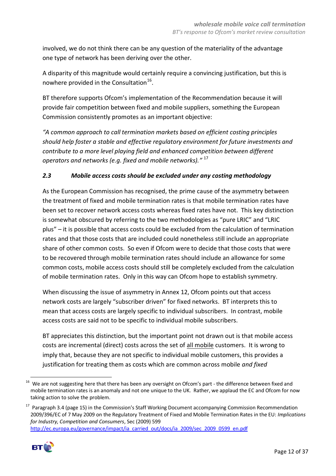involved, we do not think there can be any question of the materiality of the advantage one type of network has been deriving over the other.

A disparity of this magnitude would certainly require a convincing justification, but this is nowhere provided in the Consultation<sup>16</sup>.

BT therefore supports Ofcom's implementation of the Recommendation because it will provide fair competition between fixed and mobile suppliers, something the European Commission consistently promotes as an important objective:

*"A common approach to call termination markets based on efficient costing principles should help foster a stable and effective regulatory environment for future investments and contribute to a more level playing field and enhanced competition between different operators and networks (e.g. fixed and mobile networks)."* <sup>17</sup>

# *2.3 Mobile access costs should be excluded under any costing methodology*

As the European Commission has recognised, the prime cause of the asymmetry between the treatment of fixed and mobile termination rates is that mobile termination rates have been set to recover network access costs whereas fixed rates have not. This key distinction is somewhat obscured by referring to the two methodologies as "pure LRIC" and "LRIC plus" – it is possible that access costs could be excluded from the calculation of termination rates and that those costs that are included could nonetheless still include an appropriate share of other common costs. So even if Ofcom were to decide that those costs that were to be recovered through mobile termination rates should include an allowance for some common costs, mobile access costs should still be completely excluded from the calculation of mobile termination rates. Only in this way can Ofcom hope to establish symmetry.

When discussing the issue of asymmetry in Annex 12, Ofcom points out that access network costs are largely "subscriber driven" for fixed networks. BT interprets this to mean that access costs are largely specific to individual subscribers. In contrast, mobile access costs are said not to be specific to individual mobile subscribers.

BT appreciates this distinction, but the important point not drawn out is that mobile access costs are incremental (direct) costs across the set of all mobile customers. It is wrong to imply that, because they are not specific to individual mobile customers, this provides a justification for treating them as costs which are common across mobile *and fixed*

<sup>&</sup>lt;sup>17</sup> Paragraph 3.4 (page 15) in the Commission's Staff Working Document accompanying Commission Recommendation 2009/396/EC of 7 May 2009 on the Regulatory Treatment of Fixed and Mobile Termination Rates in the EU: *Implications for Industry, Competition and Consumers*, Sec (2009) 599 [http://ec.europa.eu/governance/impact/ia\\_carried\\_out/docs/ia\\_2009/sec\\_2009\\_0599\\_en.pdf](http://ec.europa.eu/governance/impact/ia_carried_out/docs/ia_2009/sec_2009_0599_en.pdf)



-

<sup>&</sup>lt;sup>16</sup> We are not suggesting here that there has been any oversight on Ofcom's part - the difference between fixed and mobile termination rates is an anomaly and not one unique to the UK. Rather, we applaud the EC and Ofcom for now taking action to solve the problem.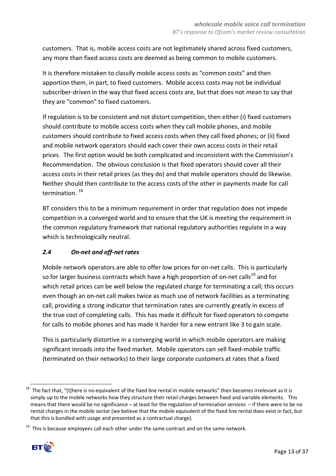customers. That is, mobile access costs are not legitimately shared across fixed customers, any more than fixed access costs are deemed as being common to mobile customers.

It is therefore mistaken to classify mobile access costs as "common costs" and then apportion them, in part, to fixed customers. Mobile access costs may not be individual subscriber-driven in the way that fixed access costs are, but that does not mean to say that they are "common" to fixed customers.

If regulation is to be consistent and not distort competition, then either (i) fixed customers should contribute to mobile access costs when they call mobile phones, and mobile customers should contribute to fixed access costs when they call fixed phones; or (ii) fixed and mobile network operators should each cover their own access costs in their retail prices. The first option would be both complicated and inconsistent with the Commission's Recommendation. The obvious conclusion is that fixed operators should cover all their access costs in their retail prices (as they do) and that mobile operators should do likewise. Neither should then contribute to the access costs of the other in payments made for call termination. <sup>18</sup>

BT considers this to be a minimum requirement in order that regulation does not impede competition in a converged world and to ensure that the UK is meeting the requirement in the common regulatory framework that national regulatory authorities regulate in a way which is technologically neutral.

# *2.4 On-net and off-net rates*

Mobile network operators are able to offer low prices for on-net calls. This is particularly so for larger business contracts which have a high proportion of on-net calls<sup>19</sup> and for which retail prices can be well below the regulated charge for terminating a call; this occurs even though an on-net call makes twice as much use of network facilities as a terminating call, providing a strong indicator that termination rates are currently greatly in excess of the true cost of completing calls. This has made it difficult for fixed operators to compete for calls to mobile phones and has made it harder for a new entrant like 3 to gain scale.

This is particularly distortive in a converging world in which mobile operators are making significant inroads into the fixed market. Mobile operators can sell fixed-mobile traffic (terminated on their networks) to their large corporate customers at rates that a fixed

 $19$  This is because employees call each other under the same contract and on the same network.



<sup>1</sup>  $18$  The fact that, "[t]here is no equivalent of the fixed line rental in mobile networks" then becomes irrelevant as it is simply up to the mobile networks how they structure their retail charges between fixed and variable elements. This means that there would be no significance – at least for the regulation of termination services – if there were to be no rental charges in the mobile sector (we believe that the mobile equivalent of the fixed line rental does exist in fact, but that this is bundled with usage and presented as a contractual charge).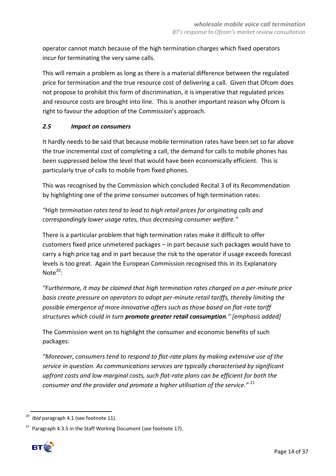operator cannot match because of the high termination charges which fixed operators incur for terminating the very same calls.

This will remain a problem as long as there is a material difference between the regulated price for termination and the true resource cost of delivering a call. Given that Ofcom does not propose to prohibit this form of discrimination, it is imperative that regulated prices and resource costs are brought into line. This is another important reason why Ofcom is right to favour the adoption of the Commission's approach.

#### *2.5 Impact on consumers*

It hardly needs to be said that because mobile termination rates have been set so far above the true incremental cost of completing a call, the demand for calls to mobile phones has been suppressed below the level that would have been economically efficient. This is particularly true of calls to mobile from fixed phones.

This was recognised by the Commission which concluded Recital 3 of its Recommendation by highlighting one of the prime consumer outcomes of high termination rates:

*"High termination rates tend to lead to high retail prices for originating calls and correspondingly lower usage rates, thus decreasing consumer welfare."*

There is a particular problem that high termination rates make it difficult to offer customers fixed price unmetered packages – in part because such packages would have to carry a high price tag and in part because the risk to the operator if usage exceeds forecast levels is too great. Again the European Commission recognised this in its Explanatory Note $20$ :

*"Furthermore, it may be claimed that high termination rates charged on a per-minute price basis create pressure on operators to adopt per-minute retail tariffs, thereby limiting the possible emergence of more innovative offers such as those based on flat-rate tariff structures which could in turn promote greater retail consumption." [emphasis added]*

The Commission went on to highlight the consumer and economic benefits of such packages:

*"Moreover, consumers tend to respond to flat-rate plans by making extensive use of the service in question. As communications services are typically characterised by significant upfront costs and low marginal costs, such flat-rate plans can be efficient for both the consumer and the provider and promote a higher utilisation of the service."* <sup>21</sup>

<sup>&</sup>lt;sup>21</sup> Paragraph 4.3.5 in the Staff Working Document (see footnote 17).



<sup>1</sup> *Ibid* paragraph 4.1 (see footnote 11).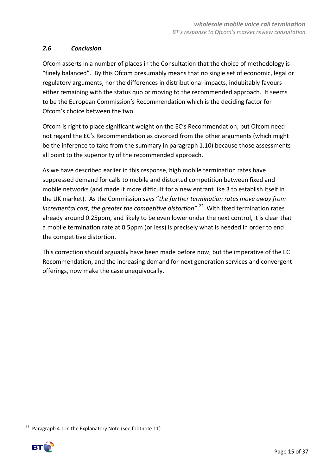# *2.6 Conclusion*

Ofcom asserts in a number of places in the Consultation that the choice of methodology is "finely balanced". By this Ofcom presumably means that no single set of economic, legal or regulatory arguments, nor the differences in distributional impacts, indubitably favours either remaining with the status quo or moving to the recommended approach. It seems to be the European Commission's Recommendation which is the deciding factor for Ofcom's choice between the two.

Ofcom is right to place significant weight on the EC's Recommendation, but Ofcom need not regard the EC's Recommendation as divorced from the other arguments (which might be the inference to take from the summary in paragraph 1.10) because those assessments all point to the superiority of the recommended approach.

As we have described earlier in this response, high mobile termination rates have suppressed demand for calls to mobile and distorted competition between fixed and mobile networks (and made it more difficult for a new entrant like 3 to establish itself in the UK market). As the Commission says "*the further termination rates move away from*  incremental cost, the greater the competitive distortion".<sup>22</sup> With fixed termination rates already around 0.25ppm, and likely to be even lower under the next control, it is clear that a mobile termination rate at 0.5ppm (or less) is precisely what is needed in order to end the competitive distortion.

This correction should arguably have been made before now, but the imperative of the EC Recommendation, and the increasing demand for next generation services and convergent offerings, now make the case unequivocally.

**<sup>.</sup>**  $22$  Paragraph 4.1 in the Explanatory Note (see footnote 11).

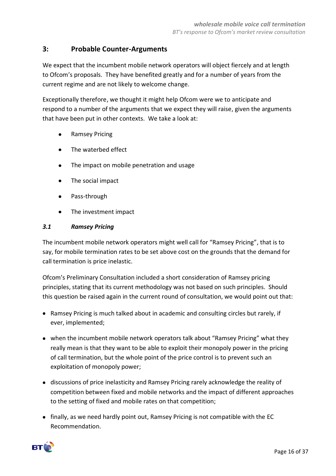# **3: Probable Counter-Arguments**

We expect that the incumbent mobile network operators will object fiercely and at length to Ofcom's proposals. They have benefited greatly and for a number of years from the current regime and are not likely to welcome change.

Exceptionally therefore, we thought it might help Ofcom were we to anticipate and respond to a number of the arguments that we expect they will raise, given the arguments that have been put in other contexts. We take a look at:

- Ramsey Pricing  $\bullet$
- The waterbed effect  $\bullet$
- The impact on mobile penetration and usage
- $\bullet$ The social impact
- Pass-through
- $\bullet$ The investment impact

#### *3.1 Ramsey Pricing*

The incumbent mobile network operators might well call for "Ramsey Pricing", that is to say, for mobile termination rates to be set above cost on the grounds that the demand for call termination is price inelastic.

Ofcom's Preliminary Consultation included a short consideration of Ramsey pricing principles, stating that its current methodology was not based on such principles. Should this question be raised again in the current round of consultation, we would point out that:

- Ramsey Pricing is much talked about in academic and consulting circles but rarely, if ever, implemented;
- when the incumbent mobile network operators talk about "Ramsey Pricing" what they really mean is that they want to be able to exploit their monopoly power in the pricing of call termination, but the whole point of the price control is to prevent such an exploitation of monopoly power;
- discussions of price inelasticity and Ramsey Pricing rarely acknowledge the reality of competition between fixed and mobile networks and the impact of different approaches to the setting of fixed and mobile rates on that competition;
- finally, as we need hardly point out, Ramsey Pricing is not compatible with the EC Recommendation.

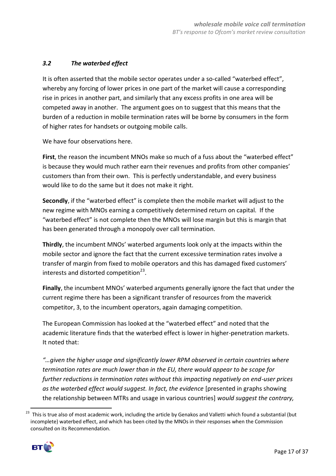# *3.2 The waterbed effect*

It is often asserted that the mobile sector operates under a so-called "waterbed effect", whereby any forcing of lower prices in one part of the market will cause a corresponding rise in prices in another part, and similarly that any excess profits in one area will be competed away in another. The argument goes on to suggest that this means that the burden of a reduction in mobile termination rates will be borne by consumers in the form of higher rates for handsets or outgoing mobile calls.

We have four observations here.

**First**, the reason the incumbent MNOs make so much of a fuss about the "waterbed effect" is because they would much rather earn their revenues and profits from other companies' customers than from their own. This is perfectly understandable, and every business would like to do the same but it does not make it right.

**Secondly**, if the "waterbed effect" is complete then the mobile market will adjust to the new regime with MNOs earning a competitively determined return on capital. If the "waterbed effect" is not complete then the MNOs will lose margin but this is margin that has been generated through a monopoly over call termination.

**Thirdly**, the incumbent MNOs' waterbed arguments look only at the impacts within the mobile sector and ignore the fact that the current excessive termination rates involve a transfer of margin from fixed to mobile operators and this has damaged fixed customers' interests and distorted competition $^{23}$ .

**Finally**, the incumbent MNOs' waterbed arguments generally ignore the fact that under the current regime there has been a significant transfer of resources from the maverick competitor, 3, to the incumbent operators, again damaging competition.

The European Commission has looked at the "waterbed effect" and noted that the academic literature finds that the waterbed effect is lower in higher-penetration markets. It noted that:

*"…given the higher usage and significantly lower RPM observed in certain countries where termination rates are much lower than in the EU, there would appear to be scope for further reductions in termination rates without this impacting negatively on end-user prices as the waterbed effect would suggest. In fact, the evidence* [presented in graphs showing the relationship between MTRs and usage in various countries] *would suggest the contrary,* 

<sup>&</sup>lt;sup>23</sup> This is true also of most academic work, including the article by Genakos and Valletti which found a substantial (but incomplete) waterbed effect, and which has been cited by the MNOs in their responses when the Commission consulted on its Recommendation.



**.**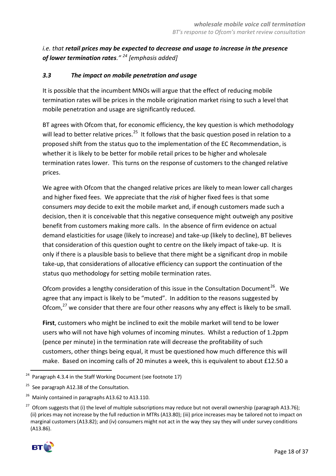*i.e. that retail prices may be expected to decrease and usage to increase in the presence of lower termination rates." <sup>24</sup> [emphasis added]*

#### *3.3 The impact on mobile penetration and usage*

It is possible that the incumbent MNOs will argue that the effect of reducing mobile termination rates will be prices in the mobile origination market rising to such a level that mobile penetration and usage are significantly reduced.

BT agrees with Ofcom that, for economic efficiency, the key question is which methodology will lead to better relative prices.<sup>25</sup> It follows that the basic question posed in relation to a proposed shift from the status quo to the implementation of the EC Recommendation, is whether it is likely to be better for mobile retail prices to be higher and wholesale termination rates lower. This turns on the response of customers to the changed relative prices.

We agree with Ofcom that the changed relative prices are likely to mean lower call charges and higher fixed fees. We appreciate that the *risk* of higher fixed fees is that some consumers *may* decide to exit the mobile market and, if enough customers made such a decision, then it is conceivable that this negative consequence might outweigh any positive benefit from customers making more calls. In the absence of firm evidence on actual demand elasticities for usage (likely to increase) and take-up (likely to decline), BT believes that consideration of this question ought to centre on the likely impact of take-up. It is only if there is a plausible basis to believe that there might be a significant drop in mobile take-up, that considerations of allocative efficiency can support the continuation of the status quo methodology for setting mobile termination rates.

Ofcom provides a lengthy consideration of this issue in the Consultation Document<sup>26</sup>. We agree that any impact is likely to be "muted". In addition to the reasons suggested by Ofcom, $^{27}$  we consider that there are four other reasons why any effect is likely to be small.

**First**, customers who might be inclined to exit the mobile market will tend to be lower users who will not have high volumes of incoming minutes. Whilst a reduction of 1.2ppm (pence per minute) in the termination rate will decrease the profitability of such customers, other things being equal, it must be questioned how much difference this will make. Based on incoming calls of 20 minutes a week, this is equivalent to about £12.50 a

<sup>&</sup>lt;sup>27</sup> Ofcom suggests that (i) the level of multiple subscriptions may reduce but not overall ownership (paragraph A13.76); (ii) prices may not increase by the full reduction in MTRs (A13.80); (iii) price increases may be tailored not to impact on marginal customers (A13.82); and (iv) consumers might not act in the way they say they will under survey conditions (A13.86).



<sup>-</sup> $24$  Paragraph 4.3.4 in the Staff Working Document (see footnote 17)

<sup>&</sup>lt;sup>25</sup> See paragraph A12.38 of the Consultation.

<sup>&</sup>lt;sup>26</sup> Mainly contained in paragraphs A13.62 to A13.110.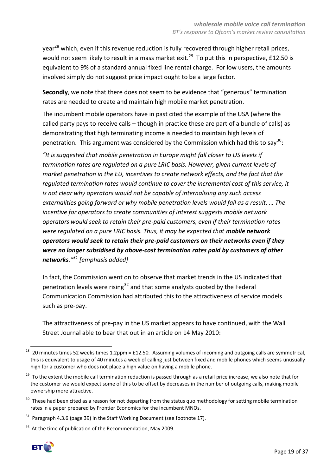year<sup>28</sup> which, even if this revenue reduction is fully recovered through higher retail prices, would not seem likely to result in a mass market exit.<sup>29</sup> To put this in perspective, £12.50 is equivalent to 9% of a standard annual fixed line rental charge. For low users, the amounts involved simply do not suggest price impact ought to be a large factor.

**Secondly**, we note that there does not seem to be evidence that "generous" termination rates are needed to create and maintain high mobile market penetration.

The incumbent mobile operators have in past cited the example of the USA (where the called party pays to receive calls – though in practice these are part of a bundle of calls) as demonstrating that high terminating income is needed to maintain high levels of penetration. This argument was considered by the Commission which had this to say<sup>30</sup>:

*"It is suggested that mobile penetration in Europe might fall closer to US levels if termination rates are regulated on a pure LRIC basis. However, given current levels of market penetration in the EU, incentives to create network effects, and the fact that the regulated termination rates would continue to cover the incremental cost of this service, it is not clear why operators would not be capable of internalising any such access externalities going forward or why mobile penetration levels would fall as a result. … The incentive for operators to create communities of interest suggests mobile network operators would seek to retain their pre-paid customers, even if their termination rates were regulated on a pure LRIC basis. Thus, it may be expected that mobile network operators would seek to retain their pre-paid customers on their networks even if they were no longer subsidised by above-cost termination rates paid by customers of other networks."<sup>31</sup> [emphasis added]*

In fact, the Commission went on to observe that market trends in the US indicated that penetration levels were rising<sup>32</sup> and that some analysts quoted by the Federal Communication Commission had attributed this to the attractiveness of service models such as pre-pay.

The attractiveness of pre-pay in the US market appears to have continued, with the Wall Street Journal able to bear that out in an article on 14 May 2010:

 $32$  At the time of publication of the Recommendation, May 2009.



-

<sup>&</sup>lt;sup>28</sup> 20 minutes times 52 weeks times 1.2ppm = £12.50. Assuming volumes of incoming and outgoing calls are symmetrical, this is equivalent to usage of 40 minutes a week of calling just between fixed and mobile phones which seems unusually high for a customer who does not place a high value on having a mobile phone.

<sup>&</sup>lt;sup>29</sup> To the extent the mobile call termination reduction is passed through as a retail price increase, we also note that for the customer we would expect some of this to be offset by decreases in the number of outgoing calls, making mobile ownership more attractive.

<sup>&</sup>lt;sup>30</sup> These had been cited as a reason for not departing from the status quo methodology for setting mobile termination rates in a paper prepared by Frontier Economics for the incumbent MNOs.

 $31$  Paragraph 4.3.6 (page 39) in the Staff Working Document (see footnote 17).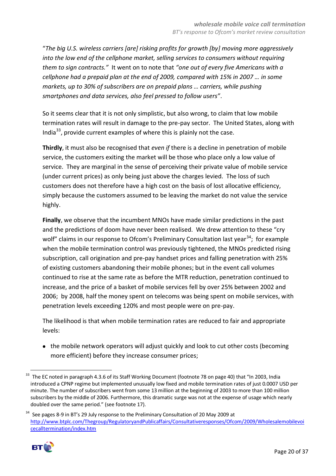"*The big U.S. wireless carriers [are] risking profits for growth [by] moving more aggressively into the low end of the cellphone market, selling services to consumers without requiring them to sign contracts."* It went on to note that *"one out of every five Americans with a cellphone had a prepaid plan at the end of 2009, compared with 15% in 2007 … in some markets, up to 30% of subscribers are on prepaid plans … carriers, while pushing smartphones and data services, also feel pressed to follow users"*.

So it seems clear that it is not only simplistic, but also wrong, to claim that low mobile termination rates will result in damage to the pre-pay sector. The United States, along with India $^{33}$ , provide current examples of where this is plainly not the case.

**Thirdly**, it must also be recognised that *even if* there is a decline in penetration of mobile service, the customers exiting the market will be those who place only a low value of service. They are marginal in the sense of perceiving their private value of mobile service (under current prices) as only being just above the charges levied. The loss of such customers does not therefore have a high cost on the basis of lost allocative efficiency, simply because the customers assumed to be leaving the market do not value the service highly.

**Finally**, we observe that the incumbent MNOs have made similar predictions in the past and the predictions of doom have never been realised. We drew attention to these "cry wolf" claims in our response to Ofcom's Preliminary Consultation last year<sup>34</sup>; for example when the mobile termination control was previously tightened, the MNOs predicted rising subscription, call origination and pre-pay handset prices and falling penetration with 25% of existing customers abandoning their mobile phones; but in the event call volumes continued to rise at the same rate as before the MTR reduction, penetration continued to increase, and the price of a basket of mobile services fell by over 25% between 2002 and 2006; by 2008, half the money spent on telecoms was being spent on mobile services, with penetration levels exceeding 120% and most people were on pre-pay.

The likelihood is that when mobile termination rates are reduced to fair and appropriate levels:

• the mobile network operators will adjust quickly and look to cut other costs (becoming more efficient) before they increase consumer prices;

<sup>&</sup>lt;sup>34</sup> See pages 8-9 in BT's 29 July response to the Preliminary Consultation of 20 May 2009 at [http://www.btplc.com/Thegroup/RegulatoryandPublicaffairs/Consultativeresponses/Ofcom/2009/Wholesalemobilevoi](http://www.btplc.com/Thegroup/RegulatoryandPublicaffairs/Consultativeresponses/Ofcom/2009/Wholesalemobilevoicecalltermination/index.htm) [cecalltermination/index.htm](http://www.btplc.com/Thegroup/RegulatoryandPublicaffairs/Consultativeresponses/Ofcom/2009/Wholesalemobilevoicecalltermination/index.htm)



**<sup>.</sup>** <sup>33</sup> The EC noted in paragraph 4.3.6 of its Staff Working Document (footnote 78 on page 40) that "In 2003, India introduced a CPNP regime but implemented unusually low fixed and mobile termination rates of just 0.0007 USD per minute. The number of subscribers went from some 13 million at the beginning of 2003 to more than 100 million subscribers by the middle of 2006. Furthermore, this dramatic surge was not at the expense of usage which nearly doubled over the same period." (see footnote 17).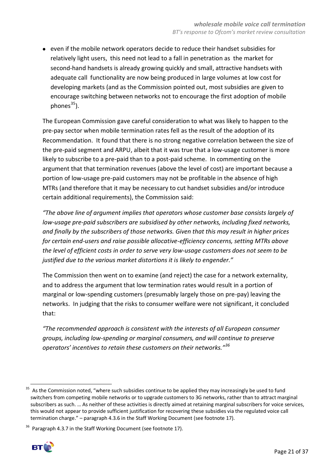even if the mobile network operators decide to reduce their handset subsidies for relatively light users, this need not lead to a fall in penetration as the market for second-hand handsets is already growing quickly and small, attractive handsets with adequate call functionality are now being produced in large volumes at low cost for developing markets (and as the Commission pointed out, most subsidies are given to encourage switching between networks not to encourage the first adoption of mobile phones $^{35}$ ).

The European Commission gave careful consideration to what was likely to happen to the pre-pay sector when mobile termination rates fell as the result of the adoption of its Recommendation. It found that there is no strong negative correlation between the size of the pre-paid segment and ARPU, albeit that it was true that a low-usage customer is more likely to subscribe to a pre-paid than to a post-paid scheme. In commenting on the argument that that termination revenues (above the level of cost) are important because a portion of low-usage pre-paid customers may not be profitable in the absence of high MTRs (and therefore that it may be necessary to cut handset subsidies and/or introduce certain additional requirements), the Commission said:

*"The above line of argument implies that operators whose customer base consists largely of low-usage pre-paid subscribers are subsidised by other networks, including fixed networks, and finally by the subscribers of those networks. Given that this may result in higher prices for certain end-users and raise possible allocative-efficiency concerns, setting MTRs above the level of efficient costs in order to serve very low-usage customers does not seem to be justified due to the various market distortions it is likely to engender."*

The Commission then went on to examine (and reject) the case for a network externality, and to address the argument that low termination rates would result in a portion of marginal or low-spending customers (presumably largely those on pre-pay) leaving the networks. In judging that the risks to consumer welfare were not significant, it concluded that:

*"The recommended approach is consistent with the interests of all European consumer groups, including low-spending or marginal consumers, and will continue to preserve operators' incentives to retain these customers on their networks."<sup>36</sup>*

 $36$  Paragraph 4.3.7 in the Staff Working Document (see footnote 17).



<sup>1</sup> <sup>35</sup> As the Commission noted, "where such subsidies continue to be applied they may increasingly be used to fund switchers from competing mobile networks or to upgrade customers to 3G networks, rather than to attract marginal subscribers as such. … As neither of these activities is directly aimed at retaining marginal subscribers for voice services, this would not appear to provide sufficient justification for recovering these subsidies via the regulated voice call termination charge." – paragraph 4.3.6 in the Staff Working Document (see footnote 17).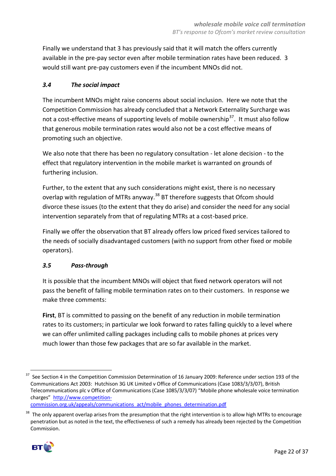Finally we understand that 3 has previously said that it will match the offers currently available in the pre-pay sector even after mobile termination rates have been reduced. 3 would still want pre-pay customers even if the incumbent MNOs did not.

# *3.4 The social impact*

The incumbent MNOs might raise concerns about social inclusion. Here we note that the Competition Commission has already concluded that a Network Externality Surcharge was not a cost-effective means of supporting levels of mobile ownership<sup>37</sup>. It must also follow that generous mobile termination rates would also not be a cost effective means of promoting such an objective.

We also note that there has been no regulatory consultation - let alone decision - to the effect that regulatory intervention in the mobile market is warranted on grounds of furthering inclusion.

Further, to the extent that any such considerations might exist, there is no necessary overlap with regulation of MTRs anyway.<sup>38</sup> BT therefore suggests that Ofcom should divorce these issues (to the extent that they do arise) and consider the need for any social intervention separately from that of regulating MTRs at a cost-based price.

Finally we offer the observation that BT already offers low priced fixed services tailored to the needs of socially disadvantaged customers (with no support from other fixed or mobile operators).

# *3.5 Pass-through*

It is possible that the incumbent MNOs will object that fixed network operators will not pass the benefit of falling mobile termination rates on to their customers. In response we make three comments:

**First**, BT is committed to passing on the benefit of any reduction in mobile termination rates to its customers; in particular we look forward to rates falling quickly to a level where we can offer unlimited calling packages including calls to mobile phones at prices very much lower than those few packages that are so far available in the market.

The only apparent overlap arises from the presumption that the right intervention is to allow high MTRs to encourage penetration but as noted in the text, the effectiveness of such a remedy has already been rejected by the Competition Commission.



**<sup>.</sup>** <sup>37</sup> See Section 4 in the Competition Commission Determination of 16 January 2009: Reference under section 193 of the Communications Act 2003: Hutchison 3G UK Limited v Office of Communications (Case 1083/3/3/07), British Telecommunications plc v Office of Communications (Case 1085/3/3/07) "Mobile phone wholesale voice termination charges" [http://www.competition-](http://www.competition-commission.org.uk/appeals/communications_act/mobile_phones_determination.pdf)

[commission.org.uk/appeals/communications\\_act/mobile\\_phones\\_determination.pdf](http://www.competition-commission.org.uk/appeals/communications_act/mobile_phones_determination.pdf)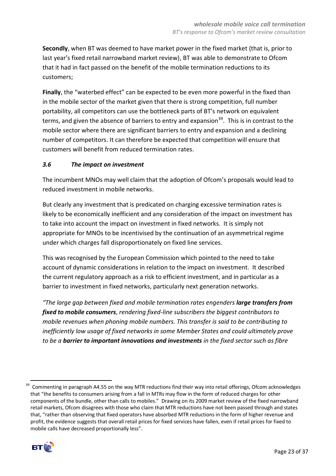**Secondly**, when BT was deemed to have market power in the fixed market (that is, prior to last year's fixed retail narrowband market review), BT was able to demonstrate to Ofcom that it had in fact passed on the benefit of the mobile termination reductions to its customers;

**Finally**, the "waterbed effect" can be expected to be even more powerful in the fixed than in the mobile sector of the market given that there is strong competition, full number portability, all competitors can use the bottleneck parts of BT's network on equivalent terms, and given the absence of barriers to entry and expansion<sup>39</sup>. This is in contrast to the mobile sector where there are significant barriers to entry and expansion and a declining number of competitors. It can therefore be expected that competition will ensure that customers will benefit from reduced termination rates.

# *3.6 The impact on investment*

The incumbent MNOs may well claim that the adoption of Ofcom's proposals would lead to reduced investment in mobile networks.

But clearly any investment that is predicated on charging excessive termination rates is likely to be economically inefficient and any consideration of the impact on investment has to take into account the impact on investment in fixed networks. It is simply not appropriate for MNOs to be incentivised by the continuation of an asymmetrical regime under which charges fall disproportionately on fixed line services.

This was recognised by the European Commission which pointed to the need to take account of dynamic considerations in relation to the impact on investment. It described the current regulatory approach as a risk to efficient investment, and in particular as a barrier to investment in fixed networks, particularly next generation networks.

*"The large gap between fixed and mobile termination rates engenders large transfers from fixed to mobile consumers, rendering fixed-line subscribers the biggest contributors to mobile revenues when phoning mobile numbers. This transfer is said to be contributing to inefficiently low usage of fixed networks in some Member States and could ultimately prove to be a barrier to important innovations and investments in the fixed sector such as fibre* 

<sup>-</sup> $39$  Commenting in paragraph A4.55 on the way MTR reductions find their way into retail offerings, Ofcom acknowledges that "the benefits to consumers arising from a fall in MTRs may flow in the form of reduced charges for other components of the bundle, other than calls to mobiles." Drawing on its 2009 market review of the fixed narrowband retail markets, Ofcom disagrees with those who claim that MTR reductions have not been passed through and states that, "rather than observing that fixed operators have absorbed MTR reductions in the form of higher revenue and profit, the evidence suggests that overall retail prices for fixed services have fallen, even if retail prices for fixed to mobile calls have decreased proportionally less".

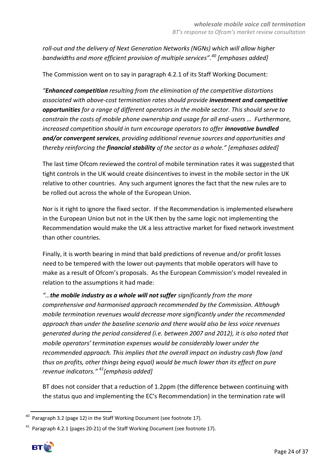*roll-out and the delivery of Next Generation Networks (NGNs) which will allow higher bandwidths and more efficient provision of multiple services".<sup>40</sup> [emphases added]*

The Commission went on to say in paragraph 4.2.1 of its Staff Working Document:

*"Enhanced competition resulting from the elimination of the competitive distortions associated with above-cost termination rates should provide investment and competitive opportunities for a range of different operators in the mobile sector. This should serve to constrain the costs of mobile phone ownership and usage for all end-users … Furthermore, increased competition should in turn encourage operators to offer innovative bundled and/or convergent services, providing additional revenue sources and opportunities and thereby reinforcing the financial stability of the sector as a whole." \*emphases added]*

The last time Ofcom reviewed the control of mobile termination rates it was suggested that tight controls in the UK would create disincentives to invest in the mobile sector in the UK relative to other countries. Any such argument ignores the fact that the new rules are to be rolled out across the whole of the European Union.

Nor is it right to ignore the fixed sector. If the Recommendation is implemented elsewhere in the European Union but not in the UK then by the same logic not implementing the Recommendation would make the UK a less attractive market for fixed network investment than other countries.

Finally, it is worth bearing in mind that bald predictions of revenue and/or profit losses need to be tempered with the lower out-payments that mobile operators will have to make as a result of Ofcom's proposals. As the European Commission's model revealed in relation to the assumptions it had made:

*"…the mobile industry as a whole will not suffer significantly from the more comprehensive and harmonised approach recommended by the Commission. Although mobile termination revenues would decrease more significantly under the recommended approach than under the baseline scenario and there would also be less voice revenues generated during the period considered (i.e. between 2007 and 2012), it is also noted that mobile operators' termination expenses would be considerably lower under the recommended approach. This implies that the overall impact on industry cash flow (and thus on profits, other things being equal) would be much lower than its effect on pure revenue indicators." <sup>41</sup>[emphasis added]* 

BT does not consider that a reduction of 1.2ppm (the difference between continuing with the status quo and implementing the EC's Recommendation) in the termination rate will

 $41$  Paragraph 4.2.1 (pages 20-21) of the Staff Working Document (see footnote 17).



<sup>1</sup> Paragraph 3.2 (page 12) in the Staff Working Document (see footnote 17).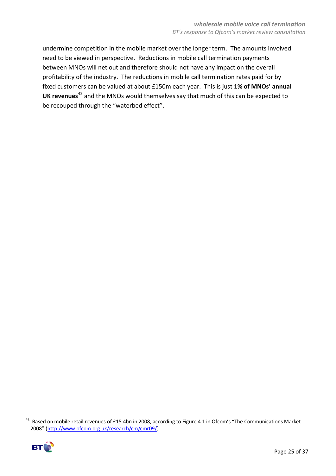undermine competition in the mobile market over the longer term. The amounts involved need to be viewed in perspective. Reductions in mobile call termination payments between MNOs will net out and therefore should not have any impact on the overall profitability of the industry. The reductions in mobile call termination rates paid for by fixed customers can be valued at about £150m each year. This is just **1% of MNOs' annual UK revenues**<sup>42</sup> and the MNOs would themselves say that much of this can be expected to be recouped through the "waterbed effect".

 $42$  Based on mobile retail revenues of £15.4bn in 2008, according to Figure 4.1 in Ofcom's "The Communications Market 2008" [\(http://www.ofcom.org.uk/research/cm/cmr09/\)](http://www.ofcom.org.uk/research/cm/cmr09/).



1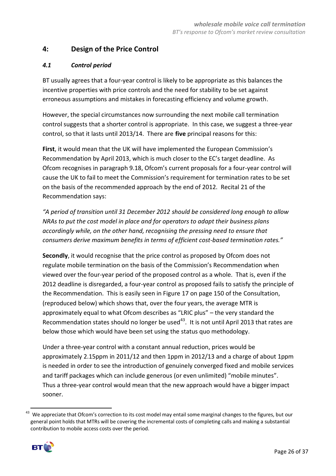# **4: Design of the Price Control**

#### *4.1 Control period*

BT usually agrees that a four-year control is likely to be appropriate as this balances the incentive properties with price controls and the need for stability to be set against erroneous assumptions and mistakes in forecasting efficiency and volume growth.

However, the special circumstances now surrounding the next mobile call termination control suggests that a shorter control is appropriate. In this case, we suggest a three-year control, so that it lasts until 2013/14. There are **five** principal reasons for this:

**First**, it would mean that the UK will have implemented the European Commission's Recommendation by April 2013, which is much closer to the EC's target deadline. As Ofcom recognises in paragraph 9.18, Ofcom's current proposals for a four-year control will cause the UK to fail to meet the Commission's requirement for termination rates to be set on the basis of the recommended approach by the end of 2012. Recital 21 of the Recommendation says:

*"A period of transition until 31 December 2012 should be considered long enough to allow NRAs to put the cost model in place and for operators to adapt their business plans accordingly while, on the other hand, recognising the pressing need to ensure that consumers derive maximum benefits in terms of efficient cost-based termination rates."*

**Secondly**, it would recognise that the price control as proposed by Ofcom does not regulate mobile termination on the basis of the Commission's Recommendation when viewed over the four-year period of the proposed control as a whole. That is, even if the 2012 deadline is disregarded, a four-year control as proposed fails to satisfy the principle of the Recommendation. This is easily seen in Figure 17 on page 150 of the Consultation, (reproduced below) which shows that, over the four years, the average MTR is approximately equal to what Ofcom describes as "LRIC plus" – the very standard the Recommendation states should no longer be used $43$ . It is not until April 2013 that rates are below those which would have been set using the status quo methodology.

Under a three-year control with a constant annual reduction, prices would be approximately 2.15ppm in 2011/12 and then 1ppm in 2012/13 and a charge of about 1ppm is needed in order to see the introduction of genuinely converged fixed and mobile services and tariff packages which can include generous (or even unlimited) "mobile minutes". Thus a three-year control would mean that the new approach would have a bigger impact sooner.

<sup>43</sup> We appreciate that Ofcom's correction to its cost model may entail some marginal changes to the figures, but our general point holds that MTRs will be covering the incremental costs of completing calls and making a substantial contribution to mobile access costs over the period.



**.**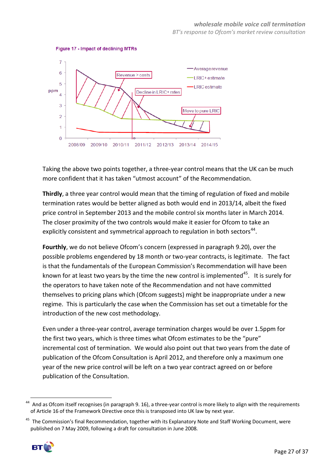*BT's response to Ofcom's market review consultation*



#### Figure 17 - Impact of declining MTRs

Taking the above two points together, a three-year control means that the UK can be much more confident that it has taken "utmost account" of the Recommendation.

**Thirdly**, a three year control would mean that the timing of regulation of fixed and mobile termination rates would be better aligned as both would end in 2013/14, albeit the fixed price control in September 2013 and the mobile control six months later in March 2014. The closer proximity of the two controls would make it easier for Ofcom to take an explicitly consistent and symmetrical approach to regulation in both sectors<sup>44</sup>.

**Fourthly**, we do not believe Ofcom's concern (expressed in paragraph 9.20), over the possible problems engendered by 18 month or two-year contracts, is legitimate. The fact is that the fundamentals of the European Commission's Recommendation will have been known for at least two years by the time the new control is implemented $45$ . It is surely for the operators to have taken note of the Recommendation and not have committed themselves to pricing plans which (Ofcom suggests) might be inappropriate under a new regime. This is particularly the case when the Commission has set out a timetable for the introduction of the new cost methodology.

Even under a three-year control, average termination charges would be over 1.5ppm for the first two years, which is three times what Ofcom estimates to be the "pure" incremental cost of termination. We would also point out that two years from the date of publication of the Ofcom Consultation is April 2012, and therefore only a maximum one year of the new price control will be left on a two year contract agreed on or before publication of the Consultation.

<sup>&</sup>lt;sup>45</sup> The Commission's final Recommendation, together with its Explanatory Note and Staff Working Document, were published on 7 May 2009, following a draft for consultation in June 2008.



-

<sup>&</sup>lt;sup>44</sup> And as Ofcom itself recognises (in paragraph 9. 16), a three-year control is more likely to align with the requirements of Article 16 of the Framework Directive once this is transposed into UK law by next year.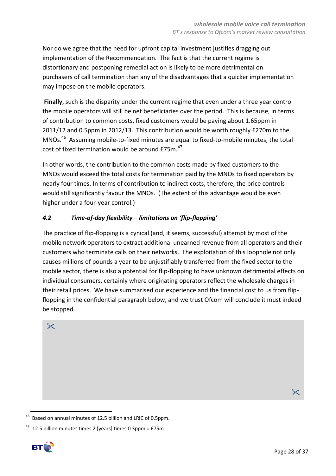Nor do we agree that the need for upfront capital investment justifies dragging out implementation of the Recommendation. The fact is that the current regime is distortionary and postponing remedial action is likely to be more detrimental on purchasers of call termination than any of the disadvantages that a quicker implementation may impose on the mobile operators.

**Finally**, such is the disparity under the current regime that even under a three year control the mobile operators will still be net beneficiaries over the period. This is because, in terms of contribution to common costs, fixed customers would be paying about 1.65ppm in 2011/12 and 0.5ppm in 2012/13. This contribution would be worth roughly £270m to the MNOs.<sup>46</sup> Assuming mobile-to-fixed minutes are equal to fixed-to-mobile minutes, the total cost of fixed termination would be around  $E75m.<sup>47</sup>$ 

In other words, the contribution to the common costs made by fixed customers to the MNOs would exceed the total costs for termination paid by the MNOs to fixed operators by nearly four times. In terms of contribution to indirect costs, therefore, the price controls would still significantly favour the MNOs. (The extent of this advantage would be even higher under a four-year control.)

# *4.2 Time-of-day flexibility – limitations on 'flip-flopping'*

The practice of flip-flopping is a cynical (and, it seems, successful) attempt by most of the mobile network operators to extract additional unearned revenue from all operators and their customers who terminate calls on their networks. The exploitation of this loophole not only causes millions of pounds a year to be unjustifiably transferred from the fixed sector to the mobile sector, there is also a potential for flip-flopping to have unknown detrimental effects on individual consumers, certainly where originating operators reflect the wholesale charges in their retail prices. We have summarised our experience and the financial cost to us from flipflopping in the confidential paragraph below, and we trust Ofcom will conclude it must indeed be stopped.

 $\chi$ 

 $\times$ 

 $47$  12.5 billion minutes times 2 [years] times 0.3ppm = £75m.



1

<sup>46</sup> Based on annual minutes of 12.5 billion and LRIC of 0.5ppm.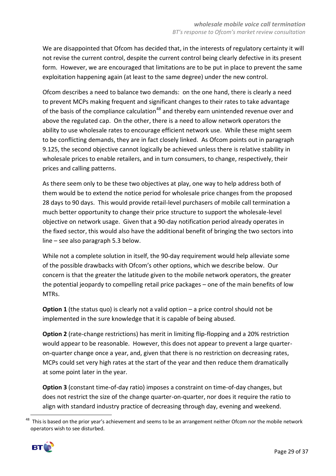We are disappointed that Ofcom has decided that, in the interests of regulatory certainty it will not revise the current control, despite the current control being clearly defective in its present form. However, we are encouraged that limitations are to be put in place to prevent the same exploitation happening again (at least to the same degree) under the new control.

Ofcom describes a need to balance two demands: on the one hand, there is clearly a need to prevent MCPs making frequent and significant changes to their rates to take advantage of the basis of the compliance calculation<sup>48</sup> and thereby earn unintended revenue over and above the regulated cap. On the other, there is a need to allow network operators the ability to use wholesale rates to encourage efficient network use. While these might seem to be conflicting demands, they are in fact closely linked. As Ofcom points out in paragraph 9.125, the second objective cannot logically be achieved unless there is relative stability in wholesale prices to enable retailers, and in turn consumers, to change, respectively, their prices and calling patterns.

As there seem only to be these two objectives at play, one way to help address both of them would be to extend the notice period for wholesale price changes from the proposed 28 days to 90 days. This would provide retail-level purchasers of mobile call termination a much better opportunity to change their price structure to support the wholesale-level objective on network usage. Given that a 90-day notification period already operates in the fixed sector, this would also have the additional benefit of bringing the two sectors into line – see also paragraph 5.3 below.

While not a complete solution in itself, the 90-day requirement would help alleviate some of the possible drawbacks with Ofcom's other options, which we describe below. Our concern is that the greater the latitude given to the mobile network operators, the greater the potential jeopardy to compelling retail price packages – one of the main benefits of low MTRs.

**Option 1** (the status quo) is clearly not a valid option – a price control should not be implemented in the sure knowledge that it is capable of being abused.

**Option 2** (rate-change restrictions) has merit in limiting flip-flopping and a 20% restriction would appear to be reasonable. However, this does not appear to prevent a large quarteron-quarter change once a year, and, given that there is no restriction on decreasing rates, MCPs could set very high rates at the start of the year and then reduce them dramatically at some point later in the year.

**Option 3** (constant time-of-day ratio) imposes a constraint on time-of-day changes, but does not restrict the size of the change quarter-on-quarter, nor does it require the ratio to align with standard industry practice of decreasing through day, evening and weekend.

<sup>&</sup>lt;sup>48</sup> This is based on the prior year's achievement and seems to be an arrangement neither Ofcom nor the mobile network operators wish to see disturbed.



1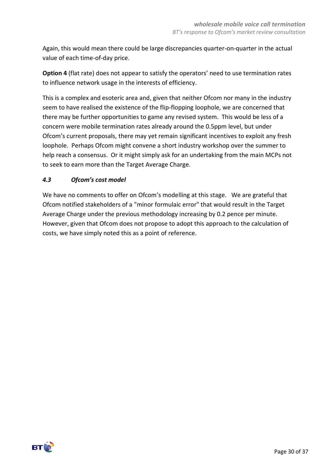Again, this would mean there could be large discrepancies quarter-on-quarter in the actual value of each time-of-day price.

**Option 4** (flat rate) does not appear to satisfy the operators' need to use termination rates to influence network usage in the interests of efficiency.

This is a complex and esoteric area and, given that neither Ofcom nor many in the industry seem to have realised the existence of the flip-flopping loophole, we are concerned that there may be further opportunities to game any revised system. This would be less of a concern were mobile termination rates already around the 0.5ppm level, but under Ofcom's current proposals, there may yet remain significant incentives to exploit any fresh loophole. Perhaps Ofcom might convene a short industry workshop over the summer to help reach a consensus. Or it might simply ask for an undertaking from the main MCPs not to seek to earn more than the Target Average Charge.

# *4.3 Ofcom's cost model*

We have no comments to offer on Ofcom's modelling at this stage. We are grateful that Ofcom notified stakeholders of a "minor formulaic error" that would result in the Target Average Charge under the previous methodology increasing by 0.2 pence per minute. However, given that Ofcom does not propose to adopt this approach to the calculation of costs, we have simply noted this as a point of reference.

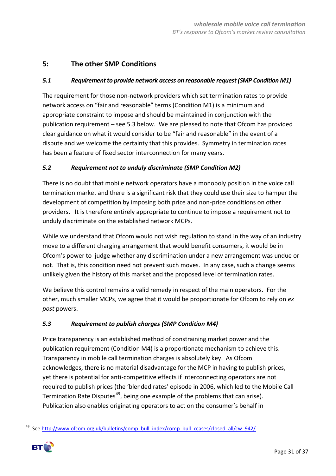# **5: The other SMP Conditions**

#### *5.1 Requirement to provide network access on reasonable request (SMP Condition M1)*

The requirement for those non-network providers which set termination rates to provide network access on "fair and reasonable" terms (Condition M1) is a minimum and appropriate constraint to impose and should be maintained in conjunction with the publication requirement – see 5.3 below. We are pleased to note that Ofcom has provided clear guidance on what it would consider to be "fair and reasonable" in the event of a dispute and we welcome the certainty that this provides. Symmetry in termination rates has been a feature of fixed sector interconnection for many years.

#### *5.2 Requirement not to unduly discriminate (SMP Condition M2)*

There is no doubt that mobile network operators have a monopoly position in the voice call termination market and there is a significant risk that they could use their size to hamper the development of competition by imposing both price and non-price conditions on other providers. It is therefore entirely appropriate to continue to impose a requirement not to unduly discriminate on the established network MCPs.

While we understand that Ofcom would not wish regulation to stand in the way of an industry move to a different charging arrangement that would benefit consumers, it would be in Ofcom's power to judge whether any discrimination under a new arrangement was undue or not. That is, this condition need not prevent such moves. In any case, such a change seems unlikely given the history of this market and the proposed level of termination rates.

We believe this control remains a valid remedy in respect of the main operators. For the other, much smaller MCPs, we agree that it would be proportionate for Ofcom to rely on *ex post* powers.

#### *5.3 Requirement to publish charges (SMP Condition M4)*

Price transparency is an established method of constraining market power and the publication requirement (Condition M4) is a proportionate mechanism to achieve this. Transparency in mobile call termination charges is absolutely key. As Ofcom acknowledges, there is no material disadvantage for the MCP in having to publish prices, yet there is potential for anti-competitive effects if interconnecting operators are not required to publish prices (the 'blended rates' episode in 2006, which led to the Mobile Call Termination Rate Disputes<sup>49</sup>, being one example of the problems that can arise). Publication also enables originating operators to act on the consumer's behalf in

**<sup>.</sup>** <sup>49</sup> See http://www.ofcom.org.uk/bulletins/comp\_bull\_index/comp\_bull\_ccases/closed\_all/cw\_942/

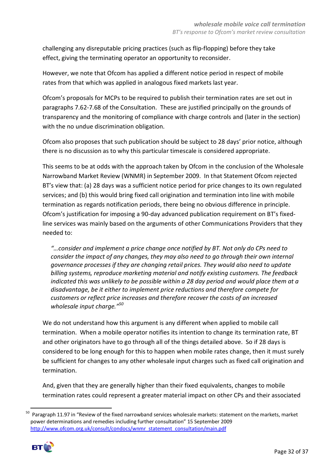challenging any disreputable pricing practices (such as flip-flopping) before they take effect, giving the terminating operator an opportunity to reconsider.

However, we note that Ofcom has applied a different notice period in respect of mobile rates from that which was applied in analogous fixed markets last year.

Ofcom's proposals for MCPs to be required to publish their termination rates are set out in paragraphs 7.62-7.68 of the Consultation. These are justified principally on the grounds of transparency and the monitoring of compliance with charge controls and (later in the section) with the no undue discrimination obligation.

Ofcom also proposes that such publication should be subject to 28 days' prior notice, although there is no discussion as to why this particular timescale is considered appropriate.

This seems to be at odds with the approach taken by Ofcom in the conclusion of the Wholesale Narrowband Market Review (WNMR) in September 2009. In that Statement Ofcom rejected BT's view that: (a) 28 days was a sufficient notice period for price changes to its own regulated services; and (b) this would bring fixed call origination and termination into line with mobile termination as regards notification periods, there being no obvious difference in principle. Ofcom's justification for imposing a 90-day advanced publication requirement on BT's fixedline services was mainly based on the arguments of other Communications Providers that they needed to:

*"…consider and implement a price change once notified by BT. Not only do CPs need to consider the impact of any changes, they may also need to go through their own internal governance processes if they are changing retail prices. They would also need to update billing systems, reproduce marketing material and notify existing customers. The feedback indicated this was unlikely to be possible within a 28 day period and would place them at a disadvantage, be it either to implement price reductions and therefore compete for customers or reflect price increases and therefore recover the costs of an increased wholesale input charge."<sup>50</sup>*

We do not understand how this argument is any different when applied to mobile call termination. When a mobile operator notifies its intention to change its termination rate, BT and other originators have to go through all of the things detailed above. So if 28 days is considered to be long enough for this to happen when mobile rates change, then it must surely be sufficient for changes to any other wholesale input charges such as fixed call origination and termination.

And, given that they are generally higher than their fixed equivalents, changes to mobile termination rates could represent a greater material impact on other CPs and their associated

<sup>50</sup> Paragraph 11.97 in "Review of the fixed narrowband services wholesale markets: statement on the markets, market power determinations and remedies including further consultation" 15 September 2009 [http://www.ofcom.org.uk/consult/condocs/wnmr\\_statement\\_consultation/main.pdf](http://www.ofcom.org.uk/consult/condocs/wnmr_statement_consultation/main.pdf)



**.**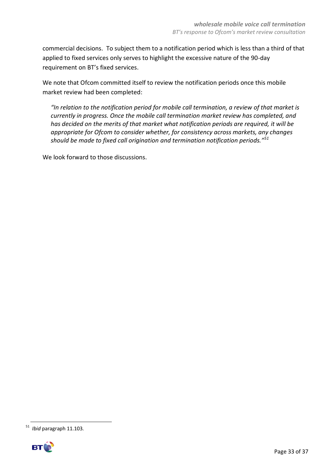commercial decisions. To subject them to a notification period which is less than a third of that applied to fixed services only serves to highlight the excessive nature of the 90-day requirement on BT's fixed services.

We note that Ofcom committed itself to review the notification periods once this mobile market review had been completed:

*"In relation to the notification period for mobile call termination, a review of that market is currently in progress. Once the mobile call termination market review has completed, and has decided on the merits of that market what notification periods are required, it will be appropriate for Ofcom to consider whether, for consistency across markets, any changes should be made to fixed call origination and termination notification periods."<sup>51</sup>*

We look forward to those discussions.

**<sup>.</sup>** <sup>51</sup> *Ibid* paragraph 11.103.

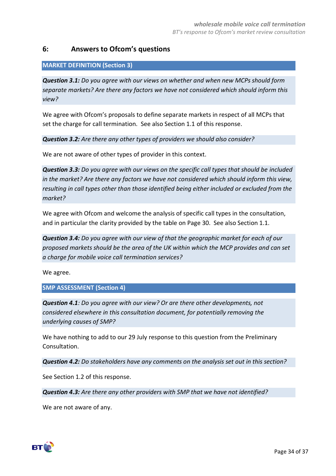# **6: Answers to Ofcom's questions**

#### **MARKET DEFINITION (Section 3)**

*Question 3.1: Do you agree with our views on whether and when new MCPs should form separate markets? Are there any factors we have not considered which should inform this view?*

We agree with Ofcom's proposals to define separate markets in respect of all MCPs that set the charge for call termination. See also Section 1.1 of this response.

*Question 3.2: Are there any other types of providers we should also consider?*

We are not aware of other types of provider in this context.

*Question 3.3: Do you agree with our views on the specific call types that should be included in the market? Are there any factors we have not considered which should inform this view, resulting in call types other than those identified being either included or excluded from the market?*

We agree with Ofcom and welcome the analysis of specific call types in the consultation, and in particular the clarity provided by the table on Page 30. See also Section 1.1.

*Question 3.4: Do you agree with our view of that the geographic market for each of our proposed markets should be the area of the UK within which the MCP provides and can set a charge for mobile voice call termination services?*

We agree.

#### **SMP ASSESSMENT (Section 4)**

*Question 4.1: Do you agree with our view? Or are there other developments, not considered elsewhere in this consultation document, for potentially removing the underlying causes of SMP?*

We have nothing to add to our 29 July response to this question from the Preliminary Consultation.

*Question 4.2: Do stakeholders have any comments on the analysis set out in this section?*

See Section 1.2 of this response.

*Question 4.3: Are there any other providers with SMP that we have not identified?*

We are not aware of any.

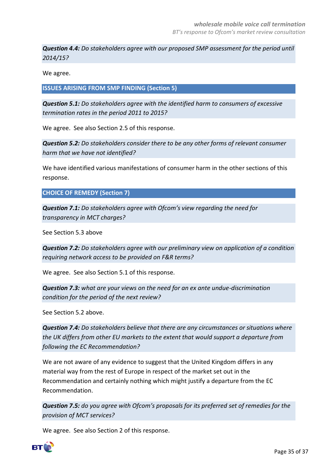*Question 4.4: Do stakeholders agree with our proposed SMP assessment for the period until 2014/15?*

We agree.

**ISSUES ARISING FROM SMP FINDING (Section 5)**

*Question 5.1: Do stakeholders agree with the identified harm to consumers of excessive termination rates in the period 2011 to 2015?*

We agree. See also Section 2.5 of this response.

*Question 5.2: Do stakeholders consider there to be any other forms of relevant consumer harm that we have not identified?*

We have identified various manifestations of consumer harm in the other sections of this response.

**CHOICE OF REMEDY (Section 7)**

*Question 7.1: Do stakeholders agree with Ofcom's view regarding the need for transparency in MCT charges?*

See Section 5.3 above

*Question 7.2: Do stakeholders agree with our preliminary view on application of a condition requiring network access to be provided on F&R terms?*

We agree. See also Section 5.1 of this response.

*Question 7.3: what are your views on the need for an ex ante undue-discrimination condition for the period of the next review?*

See Section 5.2 above.

*Question 7.4: Do stakeholders believe that there are any circumstances or situations where the UK differs from other EU markets to the extent that would support a departure from following the EC Recommendation?*

We are not aware of any evidence to suggest that the United Kingdom differs in any material way from the rest of Europe in respect of the market set out in the Recommendation and certainly nothing which might justify a departure from the EC Recommendation.

*Question 7.5: do you agree with Ofcom's proposals for its preferred set of remedies for the provision of MCT services?*

We agree. See also Section 2 of this response.

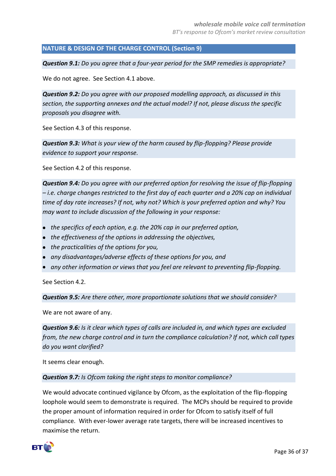#### **NATURE & DESIGN OF THE CHARGE CONTROL (Section 9)**

*Question 9.1: Do you agree that a four-year period for the SMP remedies is appropriate?*

We do not agree. See Section 4.1 above.

*Question 9.2: Do you agree with our proposed modelling approach, as discussed in this section, the supporting annexes and the actual model? If not, please discuss the specific proposals you disagree with.*

See Section 4.3 of this response.

*Question 9.3: What is your view of the harm caused by flip-flopping? Please provide evidence to support your response.*

See Section 4.2 of this response.

*Question 9.4: Do you agree with our preferred option for resolving the issue of flip-flopping – i.e. charge changes restricted to the first day of each quarter and a 20% cap on individual time of day rate increases? If not, why not? Which is your preferred option and why? You may want to include discussion of the following in your response:* 

- *the specifics of each option, e.g. the 20% cap in our preferred option,*
- *the effectiveness of the options in addressing the objectives,*
- *the practicalities of the options for you,*
- *any disadvantages/adverse effects of these options for you, and*
- *any other information or views that you feel are relevant to preventing flip-flopping.*

See Section 4.2.

*Question 9.5: Are there other, more proportionate solutions that we should consider?*

We are not aware of any.

*Question 9.6: Is it clear which types of calls are included in, and which types are excluded from, the new charge control and in turn the compliance calculation? If not, which call types do you want clarified?*

It seems clear enough.

#### *Question 9.7: Is Ofcom taking the right steps to monitor compliance?*

We would advocate continued vigilance by Ofcom, as the exploitation of the flip-flopping loophole would seem to demonstrate is required. The MCPs should be required to provide the proper amount of information required in order for Ofcom to satisfy itself of full compliance. With ever-lower average rate targets, there will be increased incentives to maximise the return.